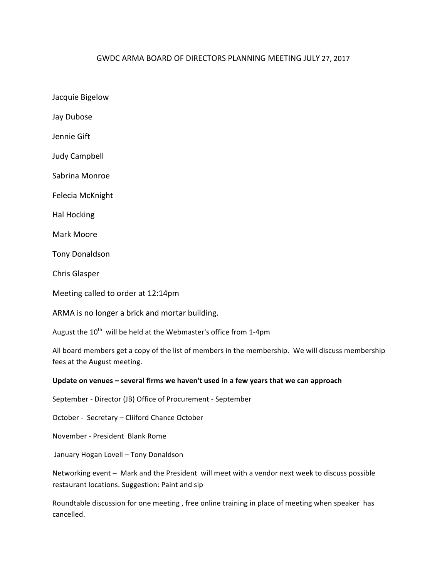## GWDC ARMA BOARD OF DIRECTORS PLANNING MEETING JULY 27, 2017

Jacquie Bigelow Jay Dubose Jennie Gift

Judy Campbell

Sabrina Monroe

Felecia McKnight

Hal Hocking

Mark Moore

Tony Donaldson

Chris Glasper

Meeting called to order at 12:14pm

ARMA is no longer a brick and mortar building.

August the  $10^{th}$  will be held at the Webmaster's office from 1-4pm

All board members get a copy of the list of members in the membership. We will discuss membership fees at the August meeting.

## Update on venues – several firms we haven't used in a few years that we can approach

September - Director (JB) Office of Procurement - September

October - Secretary – Cliiford Chance October

November - President Blank Rome

January Hogan Lovell - Tony Donaldson

Networking event - Mark and the President will meet with a vendor next week to discuss possible restaurant locations. Suggestion: Paint and sip

Roundtable discussion for one meeting, free online training in place of meeting when speaker has cancelled.